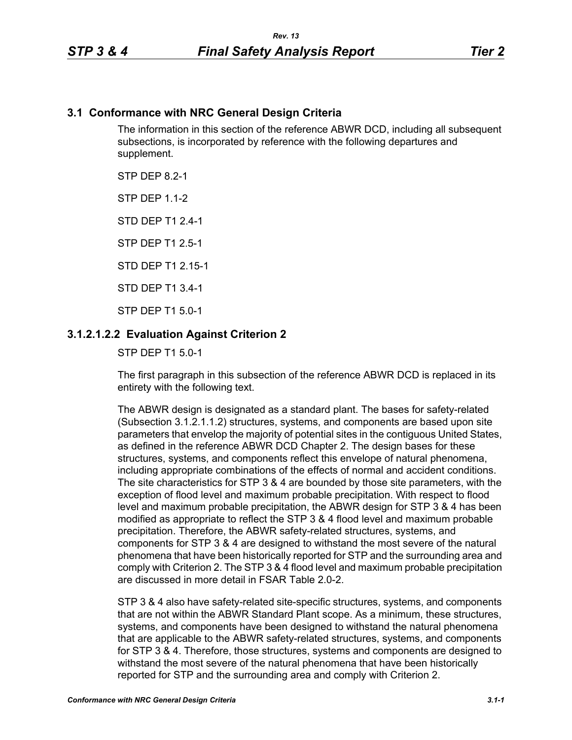## **3.1 Conformance with NRC General Design Criteria**

The information in this section of the reference ABWR DCD, including all subsequent subsections, is incorporated by reference with the following departures and supplement.

STP DFP 8 2-1

**STP DFP 1 1-2** 

STD DEP T1 2.4-1

STP DEP T1 2.5-1

STD DEP T1 2 15-1

STD DEP T1 3.4-1

STP DEP T1 5.0-1

### **3.1.2.1.2.2 Evaluation Against Criterion 2**

STP DEP T1 5.0-1

The first paragraph in this subsection of the reference ABWR DCD is replaced in its entirety with the following text.

The ABWR design is designated as a standard plant. The bases for safety-related (Subsection 3.1.2.1.1.2) structures, systems, and components are based upon site parameters that envelop the majority of potential sites in the contiguous United States, as defined in the reference ABWR DCD Chapter 2. The design bases for these structures, systems, and components reflect this envelope of natural phenomena, including appropriate combinations of the effects of normal and accident conditions. The site characteristics for STP 3 & 4 are bounded by those site parameters, with the exception of flood level and maximum probable precipitation. With respect to flood level and maximum probable precipitation, the ABWR design for STP 3 & 4 has been modified as appropriate to reflect the STP 3 & 4 flood level and maximum probable precipitation. Therefore, the ABWR safety-related structures, systems, and components for STP 3 & 4 are designed to withstand the most severe of the natural phenomena that have been historically reported for STP and the surrounding area and comply with Criterion 2. The STP 3 & 4 flood level and maximum probable precipitation are discussed in more detail in FSAR Table 2.0-2.

STP 3 & 4 also have safety-related site-specific structures, systems, and components that are not within the ABWR Standard Plant scope. As a minimum, these structures, systems, and components have been designed to withstand the natural phenomena that are applicable to the ABWR safety-related structures, systems, and components for STP 3 & 4. Therefore, those structures, systems and components are designed to withstand the most severe of the natural phenomena that have been historically reported for STP and the surrounding area and comply with Criterion 2.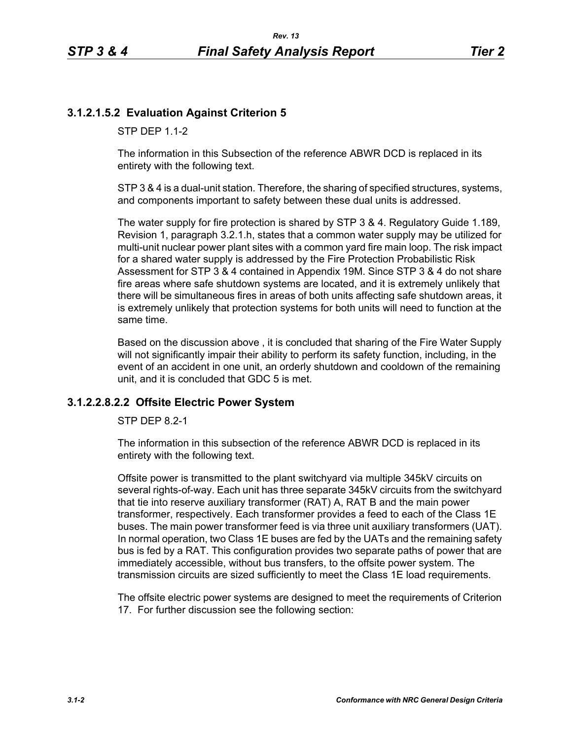# **3.1.2.1.5.2 Evaluation Against Criterion 5**

STP DFP 1 1-2

The information in this Subsection of the reference ABWR DCD is replaced in its entirety with the following text.

STP 3 & 4 is a dual-unit station. Therefore, the sharing of specified structures, systems, and components important to safety between these dual units is addressed.

The water supply for fire protection is shared by STP 3 & 4. Regulatory Guide 1.189, Revision 1, paragraph 3.2.1.h, states that a common water supply may be utilized for multi-unit nuclear power plant sites with a common yard fire main loop. The risk impact for a shared water supply is addressed by the Fire Protection Probabilistic Risk Assessment for STP 3 & 4 contained in Appendix 19M. Since STP 3 & 4 do not share fire areas where safe shutdown systems are located, and it is extremely unlikely that there will be simultaneous fires in areas of both units affecting safe shutdown areas, it is extremely unlikely that protection systems for both units will need to function at the same time.

Based on the discussion above , it is concluded that sharing of the Fire Water Supply will not significantly impair their ability to perform its safety function, including, in the event of an accident in one unit, an orderly shutdown and cooldown of the remaining unit, and it is concluded that GDC 5 is met.

## **3.1.2.2.8.2.2 Offsite Electric Power System**

STP DEP 8.2-1

The information in this subsection of the reference ABWR DCD is replaced in its entirety with the following text.

Offsite power is transmitted to the plant switchyard via multiple 345kV circuits on several rights-of-way. Each unit has three separate 345kV circuits from the switchyard that tie into reserve auxiliary transformer (RAT) A, RAT B and the main power transformer, respectively. Each transformer provides a feed to each of the Class 1E buses. The main power transformer feed is via three unit auxiliary transformers (UAT). In normal operation, two Class 1E buses are fed by the UATs and the remaining safety bus is fed by a RAT. This configuration provides two separate paths of power that are immediately accessible, without bus transfers, to the offsite power system. The transmission circuits are sized sufficiently to meet the Class 1E load requirements.

The offsite electric power systems are designed to meet the requirements of Criterion 17. For further discussion see the following section: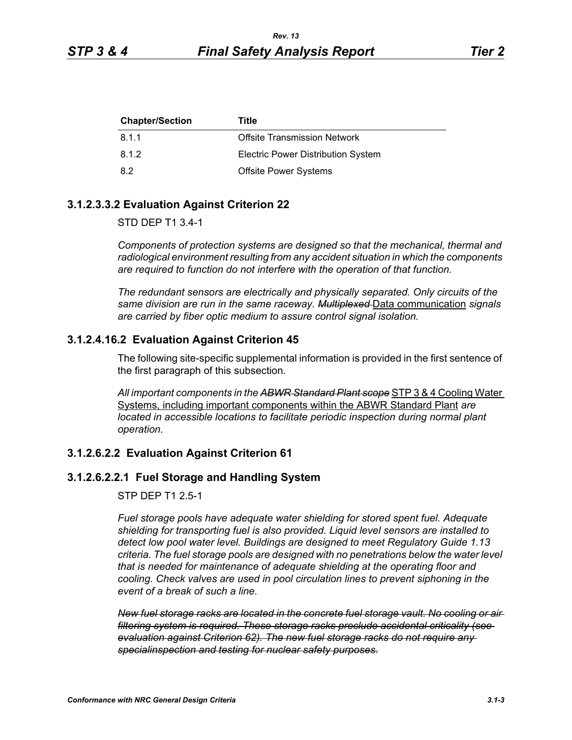| <b>Chapter/Section</b> | Title                                     |
|------------------------|-------------------------------------------|
| 8.1.1                  | <b>Offsite Transmission Network</b>       |
| 8.1.2                  | <b>Electric Power Distribution System</b> |
| -8.2                   | <b>Offsite Power Systems</b>              |

#### **3.1.2.3.3.2 Evaluation Against Criterion 22**

#### STD DEP T1 3.4-1

*Components of protection systems are designed so that the mechanical, thermal and radiological environment resulting from any accident situation in which the components are required to function do not interfere with the operation of that function.* 

*The redundant sensors are electrically and physically separated. Only circuits of the same division are run in the same raceway. Multiplexed* Data communication *signals are carried by fiber optic medium to assure control signal isolation.*

### **3.1.2.4.16.2 Evaluation Against Criterion 45**

The following site-specific supplemental information is provided in the first sentence of the first paragraph of this subsection.

*All important components in the ABWR Standard Plant scope* STP 3 & 4 Cooling Water Systems, including important components within the ABWR Standard Plant *are located in accessible locations to facilitate periodic inspection during normal plant operation.*

### **3.1.2.6.2.2 Evaluation Against Criterion 61**

#### **3.1.2.6.2.2.1 Fuel Storage and Handling System**

#### STP DEP T1 2.5-1

*Fuel storage pools have adequate water shielding for stored spent fuel. Adequate shielding for transporting fuel is also provided. Liquid level sensors are installed to detect low pool water level. Buildings are designed to meet Regulatory Guide 1.13 criteria. The fuel storage pools are designed with no penetrations below the water level that is needed for maintenance of adequate shielding at the operating floor and cooling. Check valves are used in pool circulation lines to prevent siphoning in the event of a break of such a line.*

*New fuel storage racks are located in the concrete fuel storage vault. No cooling or air filtering system is required. These storage racks preclude accidental criticality (see evaluation against Criterion 62). The new fuel storage racks do not require any specialinspection and testing for nuclear safety purposes.*